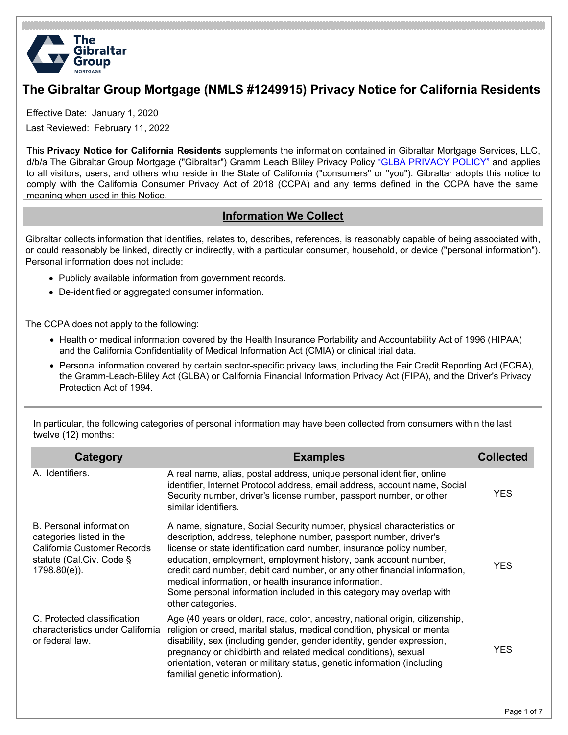

# **The Gibraltar Group Mortgage (NMLS #1249915) Privacy Notice for California Residents**

Effective Date: January 1, 2020

Last Reviewed: February 11, 2022

This **Privacy Notice for California Residents** supplements the information contained in Gibraltar Mortgage Services, LLC, d/b/a The Gibraltar Group Mortgage ("Gibraltar") Gramm Leach Bliley Privacy Policy ["GLBA PRIVACY POLICY"](https://gibraltarlending.com/GLBA/) and applies to all visitors, users, and others who reside in the State of California ("consumers" or "you"). Gibraltar adopts this notice to comply with the California Consumer Privacy Act of 2018 (CCPA) and any terms defined in the CCPA have the same meaning when used in this Notice.

#### **Information We Collect**

Gibraltar collects information that identifies, relates to, describes, references, is reasonably capable of being associated with, or could reasonably be linked, directly or indirectly, with a particular consumer, household, or device ("personal information"). Personal information does not include:

- Publicly available information from government records.
- De-identified or aggregated consumer information.

The CCPA does not apply to the following:

- Health or medical information covered by the Health Insurance Portability and Accountability Act of 1996 (HIPAA) and the California Confidentiality of Medical Information Act (CMIA) or clinical trial data.
- Personal information covered by certain sector-specific privacy laws, including the Fair Credit Reporting Act (FCRA), the Gramm-Leach-Bliley Act (GLBA) or California Financial Information Privacy Act (FIPA), and the Driver's Privacy Protection Act of 1994.

| In particular, the following categories of personal information may have been collected from consumers within the last |  |
|------------------------------------------------------------------------------------------------------------------------|--|
| twelve (12) months:                                                                                                    |  |

| Category                                                                                                                              | <b>Examples</b>                                                                                                                                                                                                                                                                                                                                                                                                                                                                                                             | <b>Collected</b> |
|---------------------------------------------------------------------------------------------------------------------------------------|-----------------------------------------------------------------------------------------------------------------------------------------------------------------------------------------------------------------------------------------------------------------------------------------------------------------------------------------------------------------------------------------------------------------------------------------------------------------------------------------------------------------------------|------------------|
| A. Identifiers.                                                                                                                       | A real name, alias, postal address, unique personal identifier, online<br>identifier, Internet Protocol address, email address, account name, Social<br>Security number, driver's license number, passport number, or other<br>similar identifiers.                                                                                                                                                                                                                                                                         | <b>YES</b>       |
| <b>B.</b> Personal information<br>categories listed in the<br>California Customer Records<br>statute (Cal.Civ. Code §<br>1798.80(e)). | A name, signature, Social Security number, physical characteristics or<br>description, address, telephone number, passport number, driver's<br>license or state identification card number, insurance policy number,<br>education, employment, employment history, bank account number,<br>credit card number, debit card number, or any other financial information,<br>medical information, or health insurance information.<br>Some personal information included in this category may overlap with<br>other categories. | <b>YES</b>       |
| C. Protected classification<br>characteristics under California<br>or federal law.                                                    | Age (40 years or older), race, color, ancestry, national origin, citizenship,<br>religion or creed, marital status, medical condition, physical or mental<br>disability, sex (including gender, gender identity, gender expression,<br>pregnancy or childbirth and related medical conditions), sexual<br>orientation, veteran or military status, genetic information (including<br>familial genetic information).                                                                                                         | <b>YES</b>       |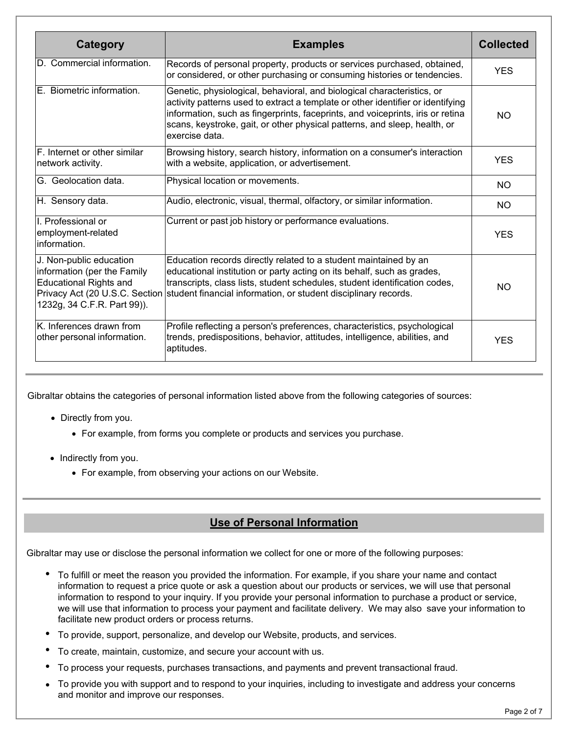| Category                                                                                                               | <b>Examples</b>                                                                                                                                                                                                                                                                                                                            | <b>Collected</b> |
|------------------------------------------------------------------------------------------------------------------------|--------------------------------------------------------------------------------------------------------------------------------------------------------------------------------------------------------------------------------------------------------------------------------------------------------------------------------------------|------------------|
| D. Commercial information.                                                                                             | Records of personal property, products or services purchased, obtained,<br>or considered, or other purchasing or consuming histories or tendencies.                                                                                                                                                                                        | <b>YES</b>       |
| E. Biometric information.                                                                                              | Genetic, physiological, behavioral, and biological characteristics, or<br>activity patterns used to extract a template or other identifier or identifying<br>information, such as fingerprints, faceprints, and voiceprints, iris or retina<br>scans, keystroke, gait, or other physical patterns, and sleep, health, or<br>exercise data. | <b>NO</b>        |
| F. Internet or other similar<br>network activity.                                                                      | Browsing history, search history, information on a consumer's interaction<br>with a website, application, or advertisement.                                                                                                                                                                                                                | <b>YES</b>       |
| G. Geolocation data.                                                                                                   | Physical location or movements.                                                                                                                                                                                                                                                                                                            | NO.              |
| H. Sensory data.                                                                                                       | Audio, electronic, visual, thermal, olfactory, or similar information.                                                                                                                                                                                                                                                                     | <b>NO</b>        |
| I. Professional or<br>employment-related<br>information.                                                               | Current or past job history or performance evaluations.                                                                                                                                                                                                                                                                                    | <b>YES</b>       |
| J. Non-public education<br>information (per the Family<br><b>Educational Rights and</b><br>1232g, 34 C.F.R. Part 99)). | Education records directly related to a student maintained by an<br>educational institution or party acting on its behalf, such as grades,<br>transcripts, class lists, student schedules, student identification codes,<br>Privacy Act (20 U.S.C. Section student financial information, or student disciplinary records.                 | NO.              |
| K. Inferences drawn from<br>other personal information.                                                                | Profile reflecting a person's preferences, characteristics, psychological<br>trends, predispositions, behavior, attitudes, intelligence, abilities, and<br>aptitudes.                                                                                                                                                                      | <b>YES</b>       |

Gibraltar obtains the categories of personal information listed above from the following categories of sources:

- Directly from you.
	- For example, from forms you complete or products and services you purchase.
- Indirectly from you.
	- For example, from observing your actions on our Website.

## **Use of Personal Information**

Gibraltar may use or disclose the personal information we collect for one or more of the following purposes:

- To fulfill or meet the reason you provided the information. For example, if you share your name and contact information to request a price quote or ask a question about our products or services, we will use that personal information to respond to your inquiry. If you provide your personal information to purchase a product or service, we will use that information to process your payment and facilitate delivery. We may also save your information to facilitate new product orders or process returns.
- To provide, support, personalize, and develop our Website, products, and services.
- To create, maintain, customize, and secure your account with us.
- To process your requests, purchases transactions, and payments and prevent transactional fraud.
- To provide you with support and to respond to your inquiries, including to investigate and address your concerns and monitor and improve our responses.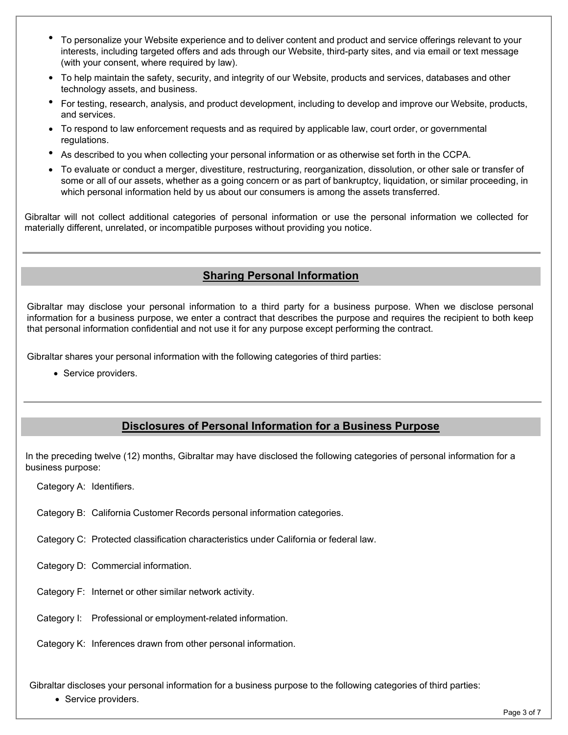- To personalize your Website experience and to deliver content and product and service offerings relevant to your interests, including targeted offers and ads through our Website, third-party sites, and via email or text message (with your consent, where required by law).
- To help maintain the safety, security, and integrity of our Website, products and services, databases and other technology assets, and business.
- For testing, research, analysis, and product development, including to develop and improve our Website, products, and services.
- To respond to law enforcement requests and as required by applicable law, court order, or governmental regulations.
- As described to you when collecting your personal information or as otherwise set forth in the CCPA.
- To evaluate or conduct a merger, divestiture, restructuring, reorganization, dissolution, or other sale or transfer of some or all of our assets, whether as a going concern or as part of bankruptcy, liquidation, or similar proceeding, in which personal information held by us about our consumers is among the assets transferred.

Gibraltar will not collect additional categories of personal information or use the personal information we collected for materially different, unrelated, or incompatible purposes without providing you notice.

#### **Sharing Personal Information**

Gibraltar may disclose your personal information to a third party for a business purpose. When we disclose personal information for a business purpose, we enter a contract that describes the purpose and requires the recipient to both keep that personal information confidential and not use it for any purpose except performing the contract.

Gibraltar shares your personal information with the following categories of third parties:

• Service providers.

#### **Disclosures of Personal Information for a Business Purpose**

In the preceding twelve (12) months, Gibraltar may have disclosed the following categories of personal information for a business purpose:

Category A: Identifiers.

Category B: California Customer Records personal information categories.

Category C: Protected classification characteristics under California or federal law.

Category D: Commercial information.

Category F: Internet or other similar network activity.

Category I: Professional or employment-related information.

Category K: Inferences drawn from other personal information.

Gibraltar discloses your personal information for a business purpose to the following categories of third parties:

• Service providers.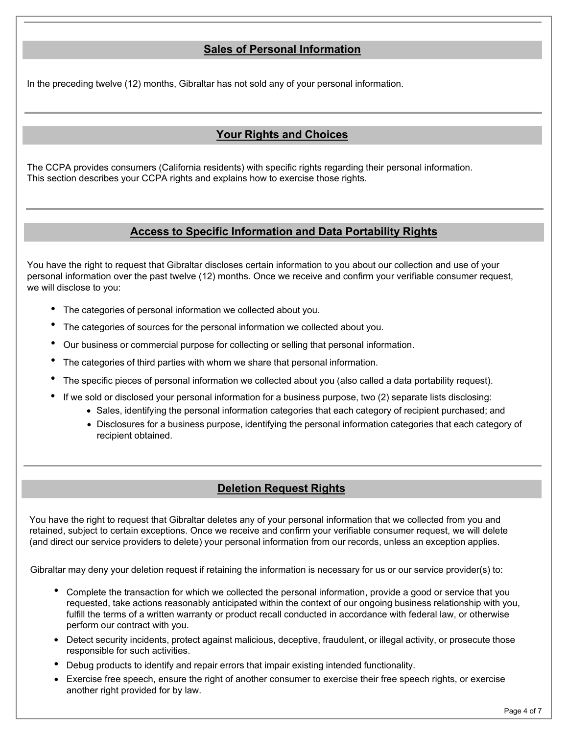### **Sales of Personal Information**

In the preceding twelve (12) months, Gibraltar has not sold any of your personal information.

### **Your Rights and Choices**

The CCPA provides consumers (California residents) with specific rights regarding their personal information. This section describes your CCPA rights and explains how to exercise those rights.

#### **Access to Specific Information and Data Portability Rights**

You have the right to request that Gibraltar discloses certain information to you about our collection and use of your personal information over the past twelve (12) months. Once we receive and confirm your verifiable consumer request, we will disclose to you:

- The categories of personal information we collected about you.
- The categories of sources for the personal information we collected about you.
- Our business or commercial purpose for collecting or selling that personal information.
- The categories of third parties with whom we share that personal information.
- The specific pieces of personal information we collected about you (also called a data portability request).
- If we sold or disclosed your personal information for a business purpose, two (2) separate lists disclosing:
	- Sales, identifying the personal information categories that each category of recipient purchased; and
	- Disclosures for a business purpose, identifying the personal information categories that each category of recipient obtained.

#### **Deletion Request Rights**

You have the right to request that Gibraltar deletes any of your personal information that we collected from you and retained, subject to certain exceptions. Once we receive and confirm your verifiable consumer request, we will delete (and direct our service providers to delete) your personal information from our records, unless an exception applies.

Gibraltar may deny your deletion request if retaining the information is necessary for us or our service provider(s) to:

- Complete the transaction for which we collected the personal information, provide a good or service that you requested, take actions reasonably anticipated within the context of our ongoing business relationship with you, fulfill the terms of a written warranty or product recall conducted in accordance with federal law, or otherwise perform our contract with you.
- Detect security incidents, protect against malicious, deceptive, fraudulent, or illegal activity, or prosecute those responsible for such activities.
- Debug products to identify and repair errors that impair existing intended functionality.
- Exercise free speech, ensure the right of another consumer to exercise their free speech rights, or exercise another right provided for by law.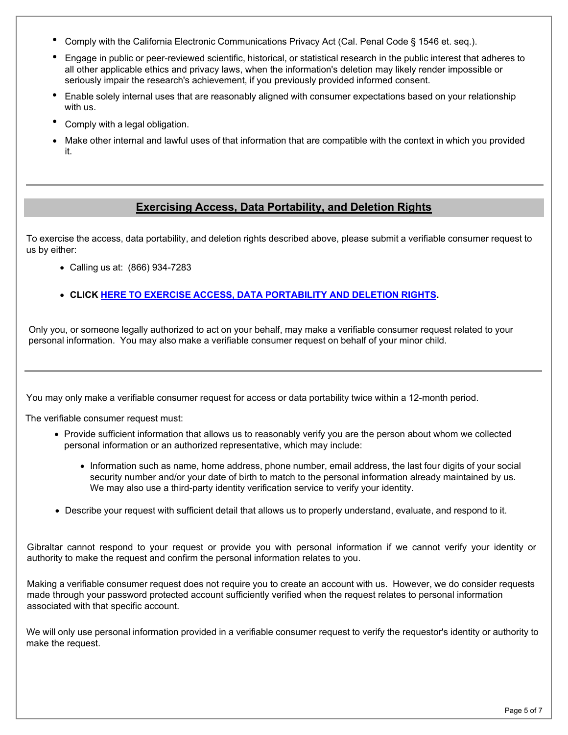- Comply with the California Electronic Communications Privacy Act (Cal. Penal Code § 1546 et. seq.).
- Engage in public or peer-reviewed scientific, historical, or statistical research in the public interest that adheres to all other applicable ethics and privacy laws, when the information's deletion may likely render impossible or seriously impair the research's achievement, if you previously provided informed consent.
- Enable solely internal uses that are reasonably aligned with consumer expectations based on your relationship with us.
- Comply with <sup>a</sup> legal obligation.
- Make other internal and lawful uses of that information that are compatible with the context in which you provided it.

### **Exercising Access, Data Portability, and Deletion Rights**

To exercise the access, data portability, and deletion rights described above, please submit a verifiable consumer request to us by either:

- Calling us at: (866) 934-7283
- **CLICK HERE TO EXERCISE ACCESS, DATA [PORTABILITY](https://privacyportal-cdn.onetrust.com/dsarwebform/ceba271c-b4ea-4271-9b1e-9e4468731c3e/75d514c1-8b05-45d7-8bbc-5e6ca3920ca2.html) AND DELETION RIGHTS.**

Only you, or someone legally authorized to act on your behalf, may make a verifiable consumer request related to your personal information. You may also make a verifiable consumer request on behalf of your minor child.

You may only make a verifiable consumer request for access or data portability twice within a 12-month period.

The verifiable consumer request must:

- Provide sufficient information that allows us to reasonably verify you are the person about whom we collected personal information or an authorized representative, which may include:
	- Information such as name, home address, phone number, email address, the last four digits of your social security number and/or your date of birth to match to the personal information already maintained by us. We may also use a third-party identity verification service to verify your identity.
- Describe your request with sufficient detail that allows us to properly understand, evaluate, and respond to it.

Gibraltar cannot respond to your request or provide you with personal information if we cannot verify your identity or authority to make the request and confirm the personal information relates to you.

Making a verifiable consumer request does not require you to create an account with us. However, we do consider requests made through your password protected account sufficiently verified when the request relates to personal information associated with that specific account.

We will only use personal information provided in a verifiable consumer request to verify the requestor's identity or authority to make the request.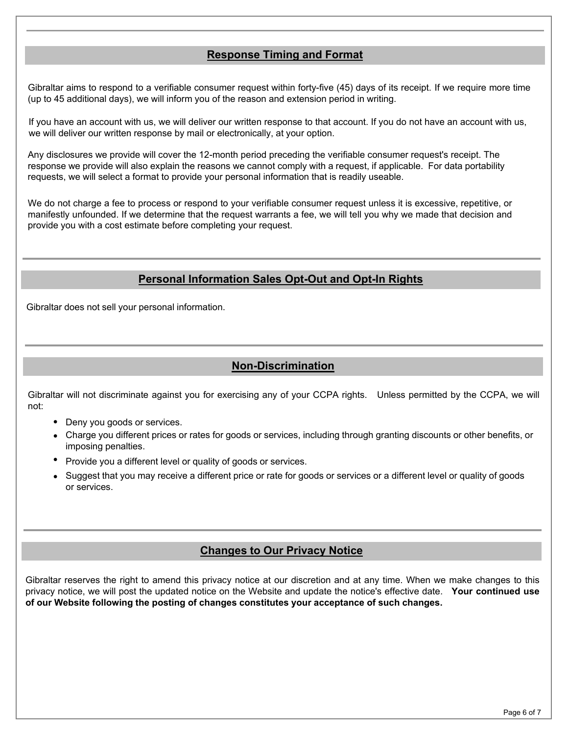#### **Response Timing and Format**

Gibraltar aims to respond to a verifiable consumer request within forty-five (45) days of its receipt. If we require more time (up to 45 additional days), we will inform you of the reason and extension period in writing.

If you have an account with us, we will deliver our written response to that account. If you do not have an account with us, we will deliver our written response by mail or electronically, at your option.

Any disclosures we provide will cover the 12-month period preceding the verifiable consumer request's receipt. The response we provide will also explain the reasons we cannot comply with a request, if applicable. For data portability requests, we will select a format to provide your personal information that is readily useable.

We do not charge a fee to process or respond to your verifiable consumer request unless it is excessive, repetitive, or manifestly unfounded. If we determine that the request warrants a fee, we will tell you why we made that decision and provide you with a cost estimate before completing your request.

### **Personal Information Sales Opt-Out and Opt-In Rights**

Gibraltar does not sell your personal information.

### **Non-Discrimination**

Gibraltar will not discriminate against you for exercising any of your CCPA rights. Unless permitted by the CCPA, we will not:

- Deny you goods or services.
- Charge you different prices or rates for goods or services, including through granting discounts or other benefits, or imposing penalties.
- Provide you a different level or quality of goods or services.
- Suggest that you may receive a different price or rate for goods or services or a different level or quality of goods or services.

#### **Changes to Our Privacy Notice**

Gibraltar reserves the right to amend this privacy notice at our discretion and at any time. When we make changes to this privacy notice, we will post the updated notice on the Website and update the notice's effective date. **Your continued use of our Website following the posting of changes constitutes your acceptance of such changes.**